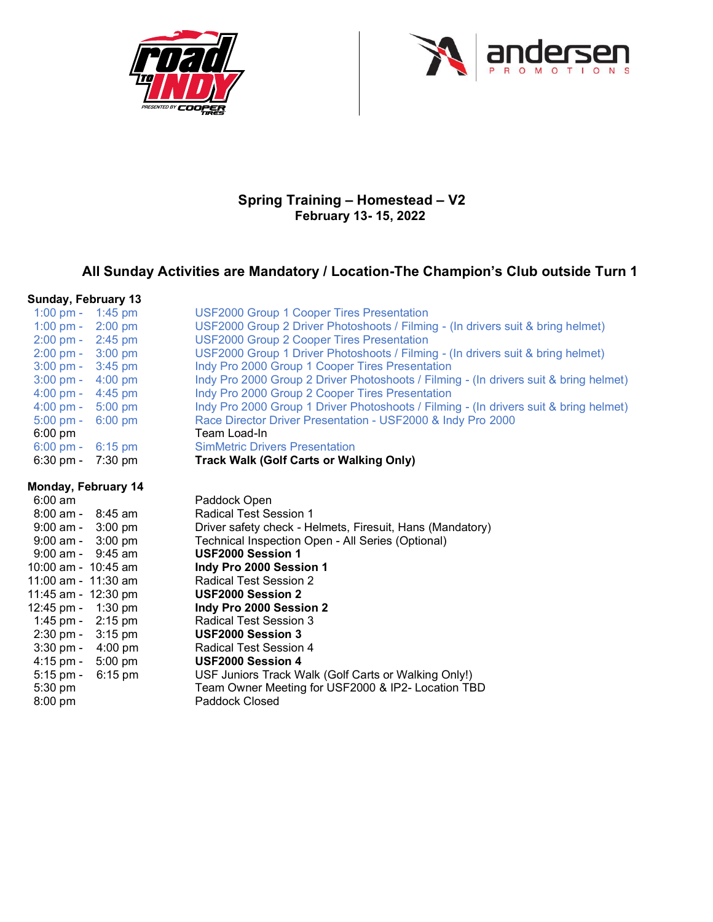



## **Spring Training ± Homestead ± V2 February 13- 15, 2022**

## All Sunday Activities are Mandatory / Location-The Champion's Club outside Turn 1

| Sunday, February 13                 |                   |                                                                                       |
|-------------------------------------|-------------------|---------------------------------------------------------------------------------------|
| 1:00 pm - 1:45 pm                   |                   | <b>USF2000 Group 1 Cooper Tires Presentation</b>                                      |
| 1:00 pm -                           | $2:00$ pm         | USF2000 Group 2 Driver Photoshoots / Filming - (In drivers suit & bring helmet)       |
| $2:00 \text{ pm} - 2:45 \text{ pm}$ |                   | <b>USF2000 Group 2 Cooper Tires Presentation</b>                                      |
| $2:00 \text{ pm} - 3:00 \text{ pm}$ |                   | USF2000 Group 1 Driver Photoshoots / Filming - (In drivers suit & bring helmet)       |
| $3:00 \text{ pm} - 3:45 \text{ pm}$ |                   | Indy Pro 2000 Group 1 Cooper Tires Presentation                                       |
| $3:00 \text{ pm} - 4:00 \text{ pm}$ |                   | Indy Pro 2000 Group 2 Driver Photoshoots / Filming - (In drivers suit & bring helmet) |
| $4:00$ pm $-$                       | 4:45 pm           | Indy Pro 2000 Group 2 Cooper Tires Presentation                                       |
| $4:00 \text{ pm} -$                 | $5:00$ pm         | Indy Pro 2000 Group 1 Driver Photoshoots / Filming - (In drivers suit & bring helmet) |
| 5:00 pm - 6:00 pm                   |                   | Race Director Driver Presentation - USF2000 & Indy Pro 2000                           |
| $6:00 \text{ pm}$                   |                   | Team Load-In                                                                          |
| $6:00 \text{ pm} -$                 | $6:15$ pm         | <b>SimMetric Drivers Presentation</b>                                                 |
| $6:30$ pm -                         | $7:30 \text{ pm}$ | <b>Track Walk (Golf Carts or Walking Only)</b>                                        |
| Monday, February 14                 |                   |                                                                                       |
| $6:00 \text{ am}$                   |                   | Paddock Open                                                                          |
| $8:00$ am - $8:45$ am               |                   | <b>Radical Test Session 1</b>                                                         |
| $9:00$ am - $3:00$ pm               |                   | Driver safety check - Helmets, Firesuit, Hans (Mandatory)                             |
| $9:00$ am - $3:00$ pm               |                   | Technical Inspection Open - All Series (Optional)                                     |
| $9:00$ am - $9:45$ am               |                   | USF2000 Session 1                                                                     |
| 10:00 am - 10:45 am                 |                   | Indy Pro 2000 Session 1                                                               |
| 11:00 am - 11:30 am                 |                   | Radical Test Session 2                                                                |
| 11:45 am - 12:30 pm                 |                   | <b>USF2000 Session 2</b>                                                              |
| 12:45 pm -                          | $1:30$ pm         | Indy Pro 2000 Session 2                                                               |
| 1:45 pm - $2:15$ pm                 |                   | <b>Radical Test Session 3</b>                                                         |
| $2:30 \text{ pm} - 3:15 \text{ pm}$ |                   | USF2000 Session 3                                                                     |
| $3:30$ pm $-$                       | 4:00 pm           | <b>Radical Test Session 4</b>                                                         |
| $4:15$ pm -                         | $5:00$ pm         | <b>USF2000 Session 4</b>                                                              |
| $5:15$ pm -                         | $6:15$ pm         | USF Juniors Track Walk (Golf Carts or Walking Only!)                                  |
| 5:30 pm                             |                   | Team Owner Meeting for USF2000 & IP2- Location TBD                                    |
| $8:00$ pm                           |                   | Paddock Closed                                                                        |
|                                     |                   |                                                                                       |